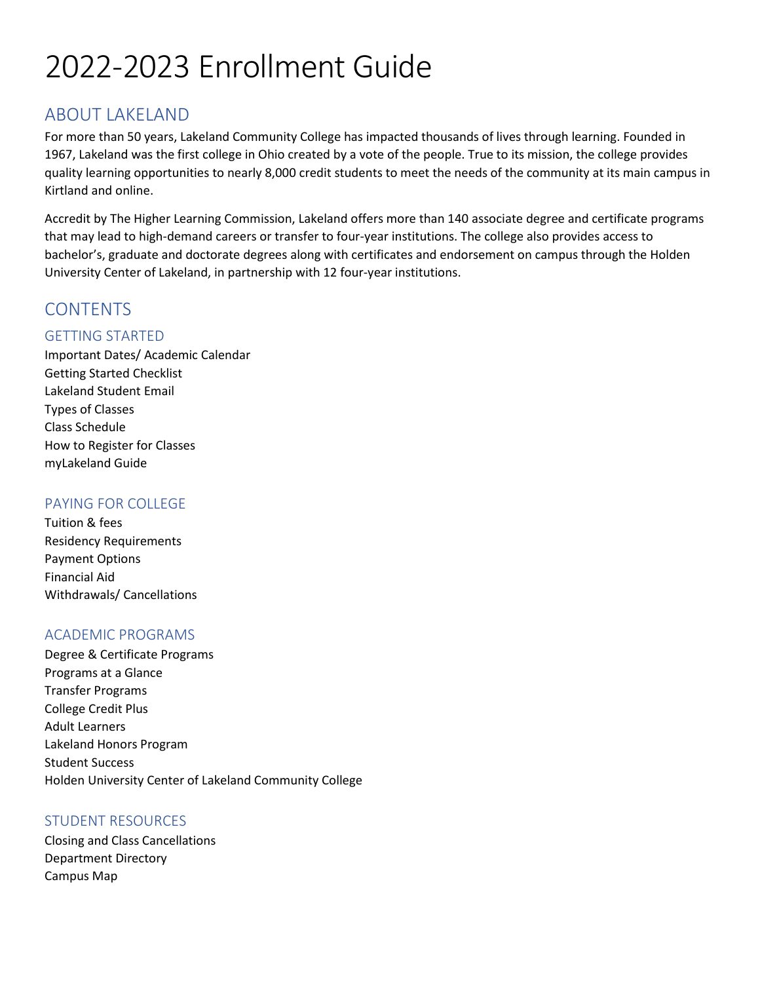# 2022-2023 Enrollment Guide

# ABOUT LAKELAND

For more than 50 years, Lakeland Community College has impacted thousands of lives through learning. Founded in 1967, Lakeland was the first college in Ohio created by a vote of the people. True to its mission, the college provides quality learning opportunities to nearly 8,000 credit students to meet the needs of the community at its main campus in Kirtland and online.

Accredit by The Higher Learning Commission, Lakeland offers more than 140 associate degree and certificate programs that may lead to high-demand careers or transfer to four-year institutions. The college also provides access to bachelor's, graduate and doctorate degrees along with certificates and endorsement on campus through the Holden University Center of Lakeland, in partnership with 12 four-year institutions.

# **CONTENTS**

# GETTING STARTED

Important Dates/ Academic Calendar Getting Started Checklist Lakeland Student Email Types of Classes Class Schedule How to Register for Classes myLakeland Guide

# PAYING FOR COLLEGE

Tuition & fees Residency Requirements Payment Options Financial Aid Withdrawals/ Cancellations

### ACADEMIC PROGRAMS

Degree & Certificate Programs Programs at a Glance Transfer Programs College Credit Plus Adult Learners Lakeland Honors Program Student Success Holden University Center of Lakeland Community College

### STUDENT RESOURCES

Closing and Class Cancellations Department Directory Campus Map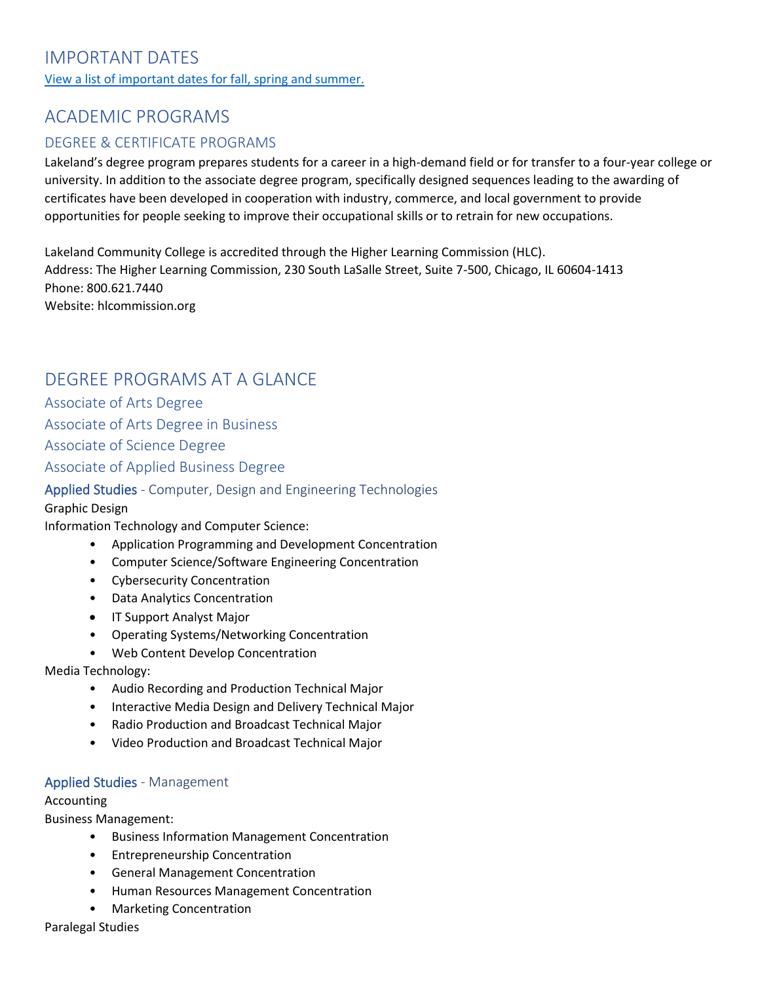# IMPORTANT DATES

[View a list of important dates for fall, spring and summer.](http://lakelandcc.edu/web/about/important-dates)

# ACADEMIC PROGRAMS

# DEGREE & CERTIFICATE PROGRAMS

Lakeland's degree program prepares students for a career in a high-demand field or for transfer to a four-year college or university. In addition to the associate degree program, specifically designed sequences leading to the awarding of certificates have been developed in cooperation with industry, commerce, and local government to provide opportunities for people seeking to improve their occupational skills or to retrain for new occupations.

Lakeland Community College is accredited through the Higher Learning Commission (HLC). Address: The Higher Learning Commission, 230 South LaSalle Street, Suite 7-500, Chicago, IL 60604-1413 Phone: 800.621.7440 Website: hlcommission.org

# DEGREE PROGRAMS AT A GLANCE

Associate of Arts Degree Associate of Arts Degree in Business Associate of Science Degree Associate of Applied Business Degree

#### Applied Studies - Computer, Design and Engineering Technologies

#### Graphic Design

Information Technology and Computer Science:

- Application Programming and Development Concentration
- Computer Science/Software Engineering Concentration
- Cybersecurity Concentration
- Data Analytics Concentration
- IT Support Analyst Major
- Operating Systems/Networking Concentration
- Web Content Develop Concentration

Media Technology:

- Audio Recording and Production Technical Major
- Interactive Media Design and Delivery Technical Major
- Radio Production and Broadcast Technical Major
- Video Production and Broadcast Technical Major

#### Applied Studies - Management

#### Accounting

Business Management:

- Business Information Management Concentration
- Entrepreneurship Concentration
- General Management Concentration
- Human Resources Management Concentration
- Marketing Concentration

Paralegal Studies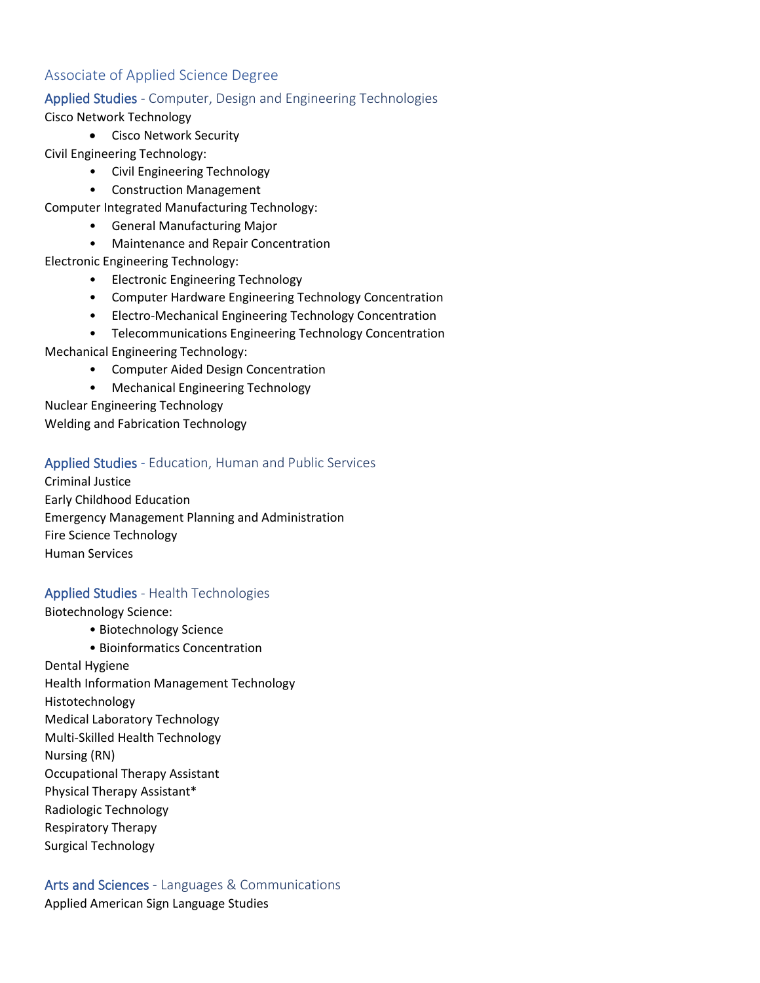# Associate of Applied Science Degree

#### Applied Studies - Computer, Design and Engineering Technologies

#### Cisco Network Technology

• Cisco Network Security

Civil Engineering Technology:

- Civil Engineering Technology
- Construction Management
- Computer Integrated Manufacturing Technology:
	- General Manufacturing Major
	- Maintenance and Repair Concentration

#### Electronic Engineering Technology:

- Electronic Engineering Technology
- Computer Hardware Engineering Technology Concentration
- Electro-Mechanical Engineering Technology Concentration
- Telecommunications Engineering Technology Concentration

Mechanical Engineering Technology:

- Computer Aided Design Concentration
- Mechanical Engineering Technology

Nuclear Engineering Technology Welding and Fabrication Technology

#### Applied Studies - Education, Human and Public Services

Criminal Justice Early Childhood Education Emergency Management Planning and Administration Fire Science Technology Human Services

### Applied Studies - Health Technologies

Biotechnology Science:

- Biotechnology Science
- Bioinformatics Concentration Dental Hygiene Health Information Management Technology Histotechnology Medical Laboratory Technology Multi-Skilled Health Technology Nursing (RN) Occupational Therapy Assistant Physical Therapy Assistant\* Radiologic Technology Respiratory Therapy Surgical Technology

Arts and Sciences - Languages & Communications Applied American Sign Language Studies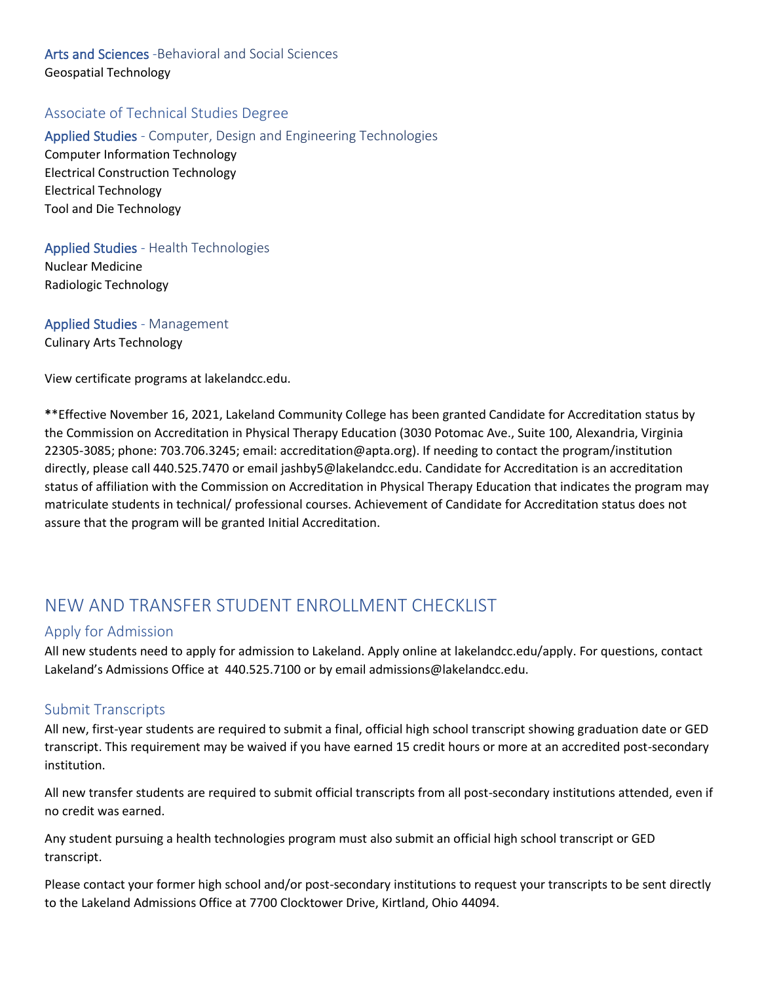# Arts and Sciences -Behavioral and Social Sciences Geospatial Technology

# Associate of Technical Studies Degree

Applied Studies - Computer, Design and Engineering Technologies Computer Information Technology Electrical Construction Technology Electrical Technology

#### Applied Studies - Health Technologies

Nuclear Medicine Radiologic Technology

Tool and Die Technology

Applied Studies - Management Culinary Arts Technology

View certificate programs at lakelandcc.edu.

**\***\*Effective November 16, 2021, Lakeland Community College has been granted Candidate for Accreditation status by the Commission on Accreditation in Physical Therapy Education (3030 Potomac Ave., Suite 100, Alexandria, Virginia 22305-3085; phone: 703.706.3245; email: accreditation@apta.org). If needing to contact the program/institution directly, please call 440.525.7470 or email jashby5@lakelandcc.edu. Candidate for Accreditation is an accreditation status of affiliation with the Commission on Accreditation in Physical Therapy Education that indicates the program may matriculate students in technical/ professional courses. Achievement of Candidate for Accreditation status does not assure that the program will be granted Initial Accreditation.

# NEW AND TRANSFER STUDENT ENROLLMENT CHECKLIST

#### Apply for Admission

All new students need to apply for admission to Lakeland. Apply online at lakelandcc.edu/apply. For questions, contact Lakeland's Admissions Office at 440.525.7100 or by email admissions@lakelandcc.edu.

### Submit Transcripts

All new, first-year students are required to submit a final, official high school transcript showing graduation date or GED transcript. This requirement may be waived if you have earned 15 credit hours or more at an accredited post-secondary institution.

All new transfer students are required to submit official transcripts from all post-secondary institutions attended, even if no credit was earned.

Any student pursuing a health technologies program must also submit an official high school transcript or GED transcript.

Please contact your former high school and/or post-secondary institutions to request your transcripts to be sent directly to the Lakeland Admissions Office at 7700 Clocktower Drive, Kirtland, Ohio 44094.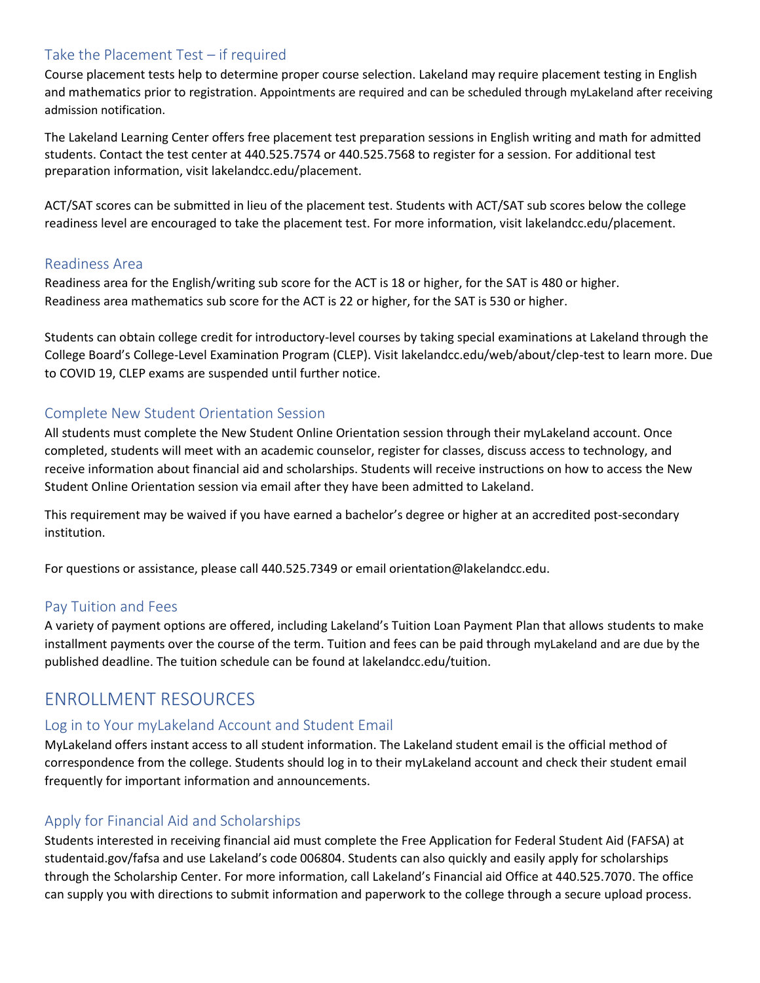# Take the Placement Test – if required

Course placement tests help to determine proper course selection. Lakeland may require placement testing in English and mathematics prior to registration. Appointments are required and can be scheduled through myLakeland after receiving admission notification.

The Lakeland Learning Center offers free placement test preparation sessions in English writing and math for admitted students. Contact the test center at 440.525.7574 or 440.525.7568 to register for a session. For additional test preparation information, visit lakelandcc.edu/placement.

ACT/SAT scores can be submitted in lieu of the placement test. Students with ACT/SAT sub scores below the college readiness level are encouraged to take the placement test. For more information, visit lakelandcc.edu/placement.

#### Readiness Area

Readiness area for the English/writing sub score for the ACT is 18 or higher, for the SAT is 480 or higher. Readiness area mathematics sub score for the ACT is 22 or higher, for the SAT is 530 or higher.

Students can obtain college credit for introductory-level courses by taking special examinations at Lakeland through the College Board's College-Level Examination Program (CLEP). Visit lakelandcc.edu/web/about/clep-test to learn more. Due to COVID 19, CLEP exams are suspended until further notice.

### Complete New Student Orientation Session

All students must complete the New Student Online Orientation session through their myLakeland account. Once completed, students will meet with an academic counselor, register for classes, discuss access to technology, and receive information about financial aid and scholarships. Students will receive instructions on how to access the New Student Online Orientation session via email after they have been admitted to Lakeland.

This requirement may be waived if you have earned a bachelor's degree or higher at an accredited post-secondary institution.

For questions or assistance, please call 440.525.7349 or email orientation@lakelandcc.edu.

### Pay Tuition and Fees

A variety of payment options are offered, including Lakeland's Tuition Loan Payment Plan that allows students to make installment payments over the course of the term. Tuition and fees can be paid through myLakeland and are due by the published deadline. The tuition schedule can be found at lakelandcc.edu/tuition.

# ENROLLMENT RESOURCES

### Log in to Your myLakeland Account and Student Email

MyLakeland offers instant access to all student information. The Lakeland student email is the official method of correspondence from the college. Students should log in to their myLakeland account and check their student email frequently for important information and announcements.

### Apply for Financial Aid and Scholarships

Students interested in receiving financial aid must complete the Free Application for Federal Student Aid (FAFSA) at studentaid.gov/fafsa and use Lakeland's code 006804. Students can also quickly and easily apply for scholarships through the Scholarship Center. For more information, call Lakeland's Financial aid Office at 440.525.7070. The office can supply you with directions to submit information and paperwork to the college through a secure upload process.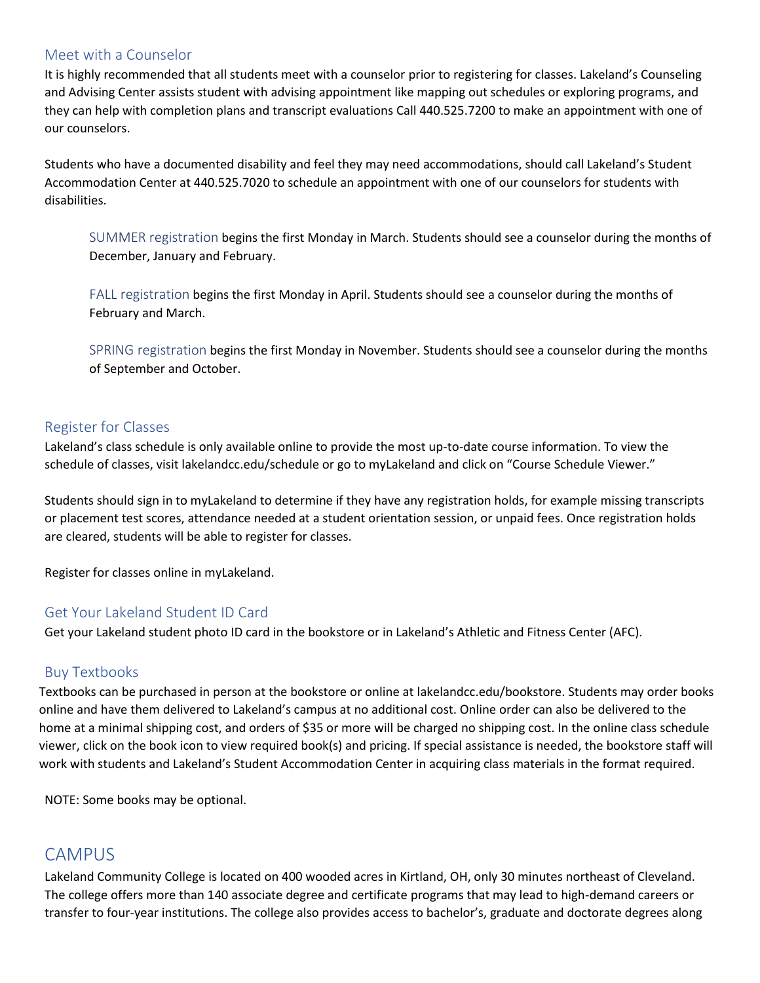#### Meet with a Counselor

It is highly recommended that all students meet with a counselor prior to registering for classes. Lakeland's Counseling and Advising Center assists student with advising appointment like mapping out schedules or exploring programs, and they can help with completion plans and transcript evaluations Call 440.525.7200 to make an appointment with one of our counselors.

Students who have a documented disability and feel they may need accommodations, should call Lakeland's Student Accommodation Center at 440.525.7020 to schedule an appointment with one of our counselors for students with disabilities.

SUMMER registration begins the first Monday in March. Students should see a counselor during the months of December, January and February.

FALL registration begins the first Monday in April. Students should see a counselor during the months of February and March.

SPRING registration begins the first Monday in November. Students should see a counselor during the months of September and October.

#### Register for Classes

Lakeland's class schedule is only available online to provide the most up-to-date course information. To view the schedule of classes, visit lakelandcc.edu/schedule or go to myLakeland and click on "Course Schedule Viewer."

Students should sign in to myLakeland to determine if they have any registration holds, for example missing transcripts or placement test scores, attendance needed at a student orientation session, or unpaid fees. Once registration holds are cleared, students will be able to register for classes.

Register for classes online in myLakeland.

### Get Your Lakeland Student ID Card

Get your Lakeland student photo ID card in the bookstore or in Lakeland's Athletic and Fitness Center (AFC).

### Buy Textbooks

Textbooks can be purchased in person at the bookstore or online at lakelandcc.edu/bookstore. Students may order books online and have them delivered to Lakeland's campus at no additional cost. Online order can also be delivered to the home at a minimal shipping cost, and orders of \$35 or more will be charged no shipping cost. In the online class schedule viewer, click on the book icon to view required book(s) and pricing. If special assistance is needed, the bookstore staff will work with students and Lakeland's Student Accommodation Center in acquiring class materials in the format required.

NOTE: Some books may be optional.

# CAMPUS

Lakeland Community College is located on 400 wooded acres in Kirtland, OH, only 30 minutes northeast of Cleveland. The college offers more than 140 associate degree and certificate programs that may lead to high-demand careers or transfer to four-year institutions. The college also provides access to bachelor's, graduate and doctorate degrees along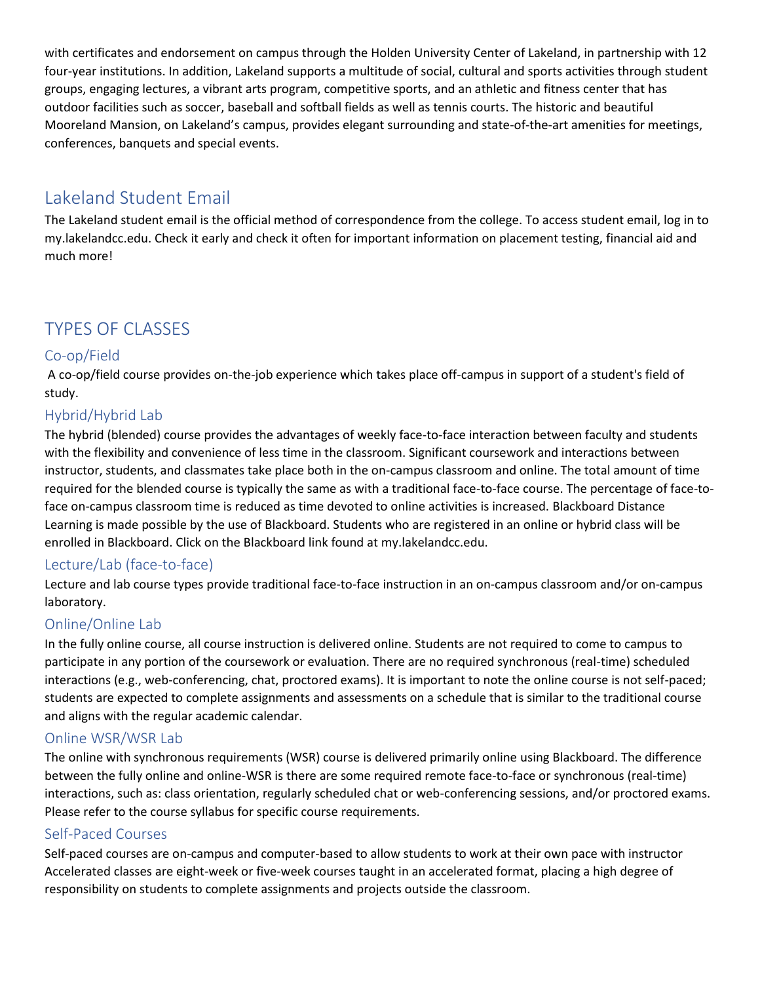with certificates and endorsement on campus through the Holden University Center of Lakeland, in partnership with 12 four-year institutions. In addition, Lakeland supports a multitude of social, cultural and sports activities through student groups, engaging lectures, a vibrant arts program, competitive sports, and an athletic and fitness center that has outdoor facilities such as soccer, baseball and softball fields as well as tennis courts. The historic and beautiful Mooreland Mansion, on Lakeland's campus, provides elegant surrounding and state-of-the-art amenities for meetings, conferences, banquets and special events.

# Lakeland Student Email

The Lakeland student email is the official method of correspondence from the college. To access student email, log in to my.lakelandcc.edu. Check it early and check it often for important information on placement testing, financial aid and much more!

# TYPES OF CLASSES

# Co-op/Field

A co-op/field course provides on-the-job experience which takes place off-campus in support of a student's field of study.

# Hybrid/Hybrid Lab

The hybrid (blended) course provides the advantages of weekly face-to-face interaction between faculty and students with the flexibility and convenience of less time in the classroom. Significant coursework and interactions between instructor, students, and classmates take place both in the on-campus classroom and online. The total amount of time required for the blended course is typically the same as with a traditional face-to-face course. The percentage of face-toface on-campus classroom time is reduced as time devoted to online activities is increased. Blackboard Distance Learning is made possible by the use of Blackboard. Students who are registered in an online or hybrid class will be enrolled in Blackboard. Click on the Blackboard link found at my.lakelandcc.edu.

# Lecture/Lab (face-to-face)

Lecture and lab course types provide traditional face-to-face instruction in an on-campus classroom and/or on-campus laboratory.

# Online/Online Lab

In the fully online course, all course instruction is delivered online. Students are not required to come to campus to participate in any portion of the coursework or evaluation. There are no required synchronous (real-time) scheduled interactions (e.g., web-conferencing, chat, proctored exams). It is important to note the online course is not self-paced; students are expected to complete assignments and assessments on a schedule that is similar to the traditional course and aligns with the regular academic calendar.

### Online WSR/WSR Lab

The online with synchronous requirements (WSR) course is delivered primarily online using Blackboard. The difference between the fully online and online-WSR is there are some required remote face-to-face or synchronous (real-time) interactions, such as: class orientation, regularly scheduled chat or web-conferencing sessions, and/or proctored exams. Please refer to the course syllabus for specific course requirements.

# Self-Paced Courses

Self-paced courses are on-campus and computer-based to allow students to work at their own pace with instructor Accelerated classes are eight-week or five-week courses taught in an accelerated format, placing a high degree of responsibility on students to complete assignments and projects outside the classroom.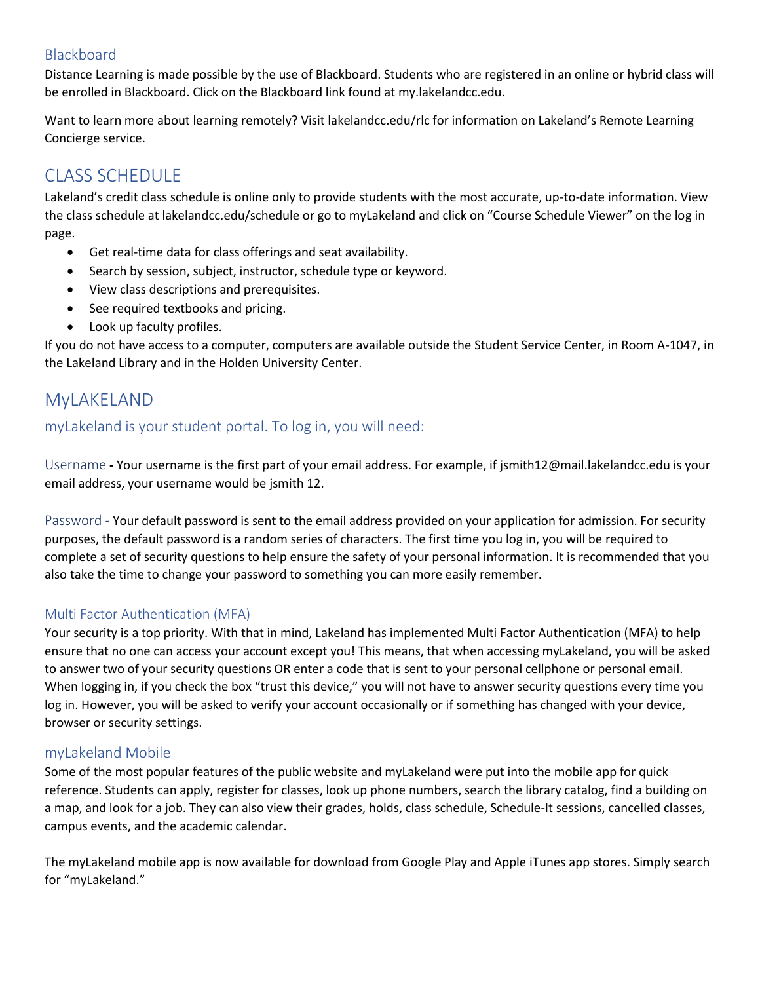# Blackboard

Distance Learning is made possible by the use of Blackboard. Students who are registered in an online or hybrid class will be enrolled in Blackboard. Click on the Blackboard link found at my.lakelandcc.edu.

Want to learn more about learning remotely? Visit lakelandcc.edu/rlc for information on Lakeland's Remote Learning Concierge service.

# CLASS SCHEDULE

Lakeland's credit class schedule is online only to provide students with the most accurate, up-to-date information. View the class schedule at lakelandcc.edu/schedule or go to myLakeland and click on "Course Schedule Viewer" on the log in page.

- Get real-time data for class offerings and seat availability.
- Search by session, subject, instructor, schedule type or keyword.
- View class descriptions and prerequisites.
- See required textbooks and pricing.
- Look up faculty profiles.

If you do not have access to a computer, computers are available outside the Student Service Center, in Room A-1047, in the Lakeland Library and in the Holden University Center.

# MyLAKELAND

# myLakeland is your student portal. To log in, you will need:

Username **-** Your username is the first part of your email address. For example, if jsmith12@mail.lakelandcc.edu is your email address, your username would be jsmith 12.

Password - Your default password is sent to the email address provided on your application for admission. For security purposes, the default password is a random series of characters. The first time you log in, you will be required to complete a set of security questions to help ensure the safety of your personal information. It is recommended that you also take the time to change your password to something you can more easily remember.

### Multi Factor Authentication (MFA)

Your security is a top priority. With that in mind, Lakeland has implemented Multi Factor Authentication (MFA) to help ensure that no one can access your account except you! This means, that when accessing myLakeland, you will be asked to answer two of your security questions OR enter a code that is sent to your personal cellphone or personal email. When logging in, if you check the box "trust this device," you will not have to answer security questions every time you log in. However, you will be asked to verify your account occasionally or if something has changed with your device, browser or security settings.

### myLakeland Mobile

Some of the most popular features of the public website and myLakeland were put into the mobile app for quick reference. Students can apply, register for classes, look up phone numbers, search the library catalog, find a building on a map, and look for a job. They can also view their grades, holds, class schedule, Schedule-It sessions, cancelled classes, campus events, and the academic calendar.

The myLakeland mobile app is now available for download from Google Play and Apple iTunes app stores. Simply search for "myLakeland."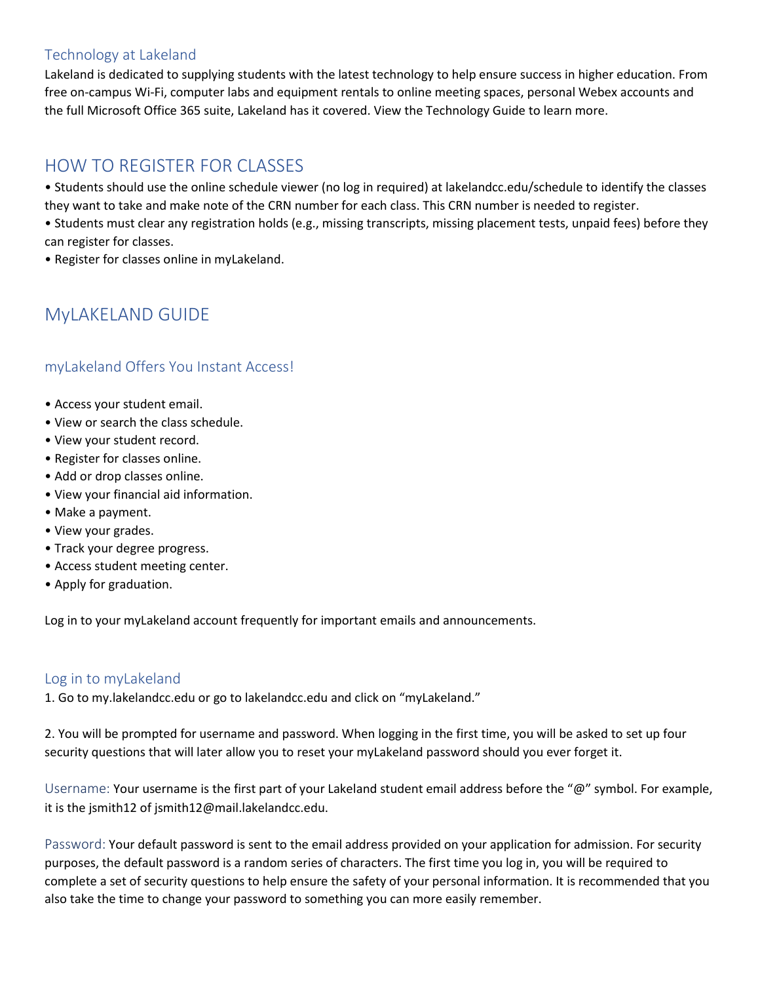# Technology at Lakeland

Lakeland is dedicated to supplying students with the latest technology to help ensure success in higher education. From free on-campus Wi-Fi, computer labs and equipment rentals to online meeting spaces, personal Webex accounts and the full Microsoft Office 365 suite, Lakeland has it covered. View the Technology Guide to learn more.

# HOW TO REGISTER FOR CLASSES

• Students should use the online schedule viewer (no log in required) at lakelandcc.edu/schedule to identify the classes they want to take and make note of the CRN number for each class. This CRN number is needed to register.

- Students must clear any registration holds (e.g., missing transcripts, missing placement tests, unpaid fees) before they can register for classes.
- Register for classes online in myLakeland.

# MyLAKELAND GUIDE

# myLakeland Offers You Instant Access!

- Access your student email.
- View or search the class schedule.
- View your student record.
- Register for classes online.
- Add or drop classes online.
- View your financial aid information.
- Make a payment.
- View your grades.
- Track your degree progress.
- Access student meeting center.
- Apply for graduation.

Log in to your myLakeland account frequently for important emails and announcements.

#### Log in to myLakeland

1. Go to my.lakelandcc.edu or go to lakelandcc.edu and click on "myLakeland."

2. You will be prompted for username and password. When logging in the first time, you will be asked to set up four security questions that will later allow you to reset your myLakeland password should you ever forget it.

Username: Your username is the first part of your Lakeland student email address before the "@" symbol. For example, it is the jsmith12 of jsmith12@mail.lakelandcc.edu.

Password: Your default password is sent to the email address provided on your application for admission. For security purposes, the default password is a random series of characters. The first time you log in, you will be required to complete a set of security questions to help ensure the safety of your personal information. It is recommended that you also take the time to change your password to something you can more easily remember.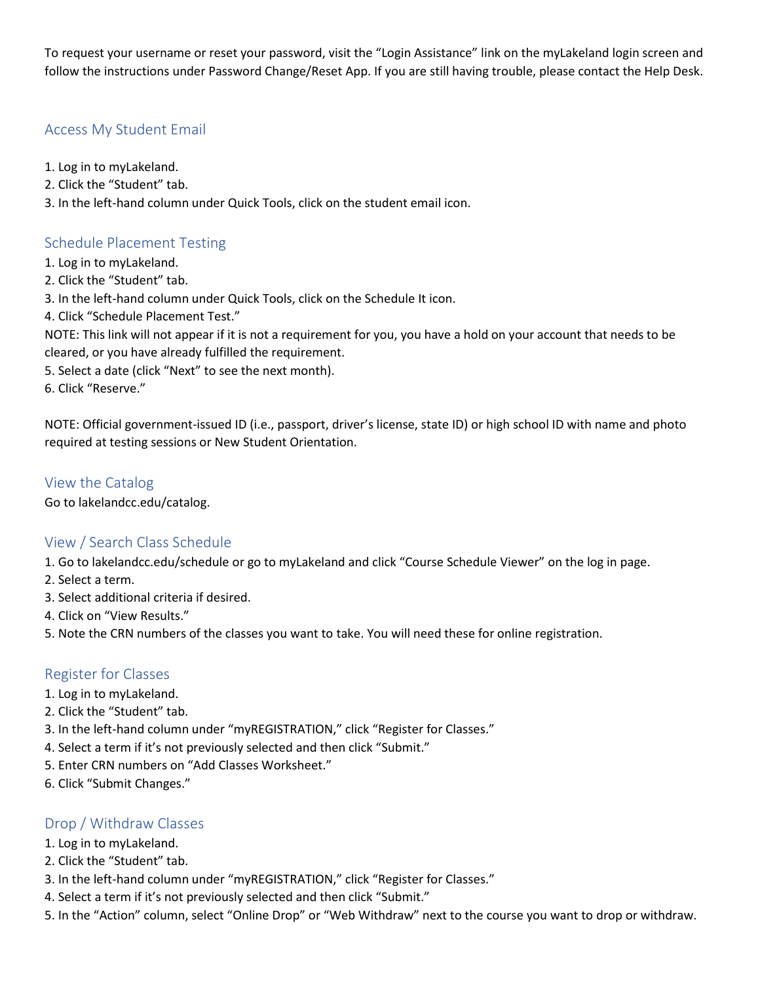To request your username or reset your password, visit the "Login Assistance" link on the myLakeland login screen and follow the instructions under Password Change/Reset App. If you are still having trouble, please contact the Help Desk.

# Access My Student Email

- 1. Log in to myLakeland.
- 2. Click the "Student" tab.
- 3. In the left-hand column under Quick Tools, click on the student email icon.

# Schedule Placement Testing

- 1. Log in to myLakeland.
- 2. Click the "Student" tab.
- 3. In the left-hand column under Quick Tools, click on the Schedule It icon.
- 4. Click "Schedule Placement Test."

NOTE: This link will not appear if it is not a requirement for you, you have a hold on your account that needs to be cleared, or you have already fulfilled the requirement.

- 5. Select a date (click "Next" to see the next month).
- 6. Click "Reserve."

NOTE: Official government-issued ID (i.e., passport, driver's license, state ID) or high school ID with name and photo required at testing sessions or New Student Orientation.

### View the Catalog

Go to lakelandcc.edu/catalog.

### View / Search Class Schedule

1. Go to lakelandcc.edu/schedule or go to myLakeland and click "Course Schedule Viewer" on the log in page.

- 2. Select a term.
- 3. Select additional criteria if desired.
- 4. Click on "View Results."
- 5. Note the CRN numbers of the classes you want to take. You will need these for online registration.

### Register for Classes

- 1. Log in to myLakeland.
- 2. Click the "Student" tab.
- 3. In the left-hand column under "myREGISTRATION," click "Register for Classes."
- 4. Select a term if it's not previously selected and then click "Submit."
- 5. Enter CRN numbers on "Add Classes Worksheet."
- 6. Click "Submit Changes."

### Drop / Withdraw Classes

- 1. Log in to myLakeland.
- 2. Click the "Student" tab.
- 3. In the left-hand column under "myREGISTRATION," click "Register for Classes."
- 4. Select a term if it's not previously selected and then click "Submit."
- 5. In the "Action" column, select "Online Drop" or "Web Withdraw" next to the course you want to drop or withdraw.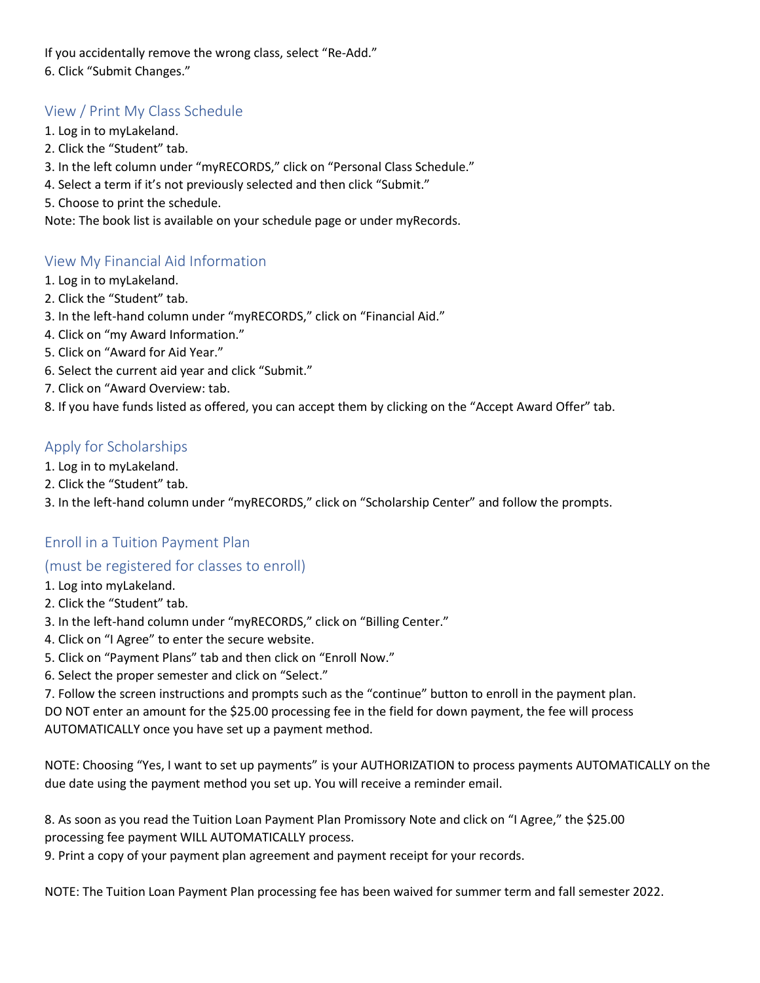If you accidentally remove the wrong class, select "Re-Add." 6. Click "Submit Changes."

# View / Print My Class Schedule

- 1. Log in to myLakeland.
- 2. Click the "Student" tab.
- 3. In the left column under "myRECORDS," click on "Personal Class Schedule."
- 4. Select a term if it's not previously selected and then click "Submit."
- 5. Choose to print the schedule.

Note: The book list is available on your schedule page or under myRecords.

# View My Financial Aid Information

- 1. Log in to myLakeland.
- 2. Click the "Student" tab.
- 3. In the left-hand column under "myRECORDS," click on "Financial Aid."
- 4. Click on "my Award Information."
- 5. Click on "Award for Aid Year."
- 6. Select the current aid year and click "Submit."
- 7. Click on "Award Overview: tab.
- 8. If you have funds listed as offered, you can accept them by clicking on the "Accept Award Offer" tab.

# Apply for Scholarships

- 1. Log in to myLakeland.
- 2. Click the "Student" tab.
- 3. In the left-hand column under "myRECORDS," click on "Scholarship Center" and follow the prompts.

# Enroll in a Tuition Payment Plan

### (must be registered for classes to enroll)

- 1. Log into myLakeland.
- 2. Click the "Student" tab.
- 3. In the left-hand column under "myRECORDS," click on "Billing Center."
- 4. Click on "I Agree" to enter the secure website.
- 5. Click on "Payment Plans" tab and then click on "Enroll Now."
- 6. Select the proper semester and click on "Select."

7. Follow the screen instructions and prompts such as the "continue" button to enroll in the payment plan. DO NOT enter an amount for the \$25.00 processing fee in the field for down payment, the fee will process AUTOMATICALLY once you have set up a payment method.

NOTE: Choosing "Yes, I want to set up payments" is your AUTHORIZATION to process payments AUTOMATICALLY on the due date using the payment method you set up. You will receive a reminder email.

8. As soon as you read the Tuition Loan Payment Plan Promissory Note and click on "I Agree," the \$25.00 processing fee payment WILL AUTOMATICALLY process.

9. Print a copy of your payment plan agreement and payment receipt for your records.

NOTE: The Tuition Loan Payment Plan processing fee has been waived for summer term and fall semester 2022.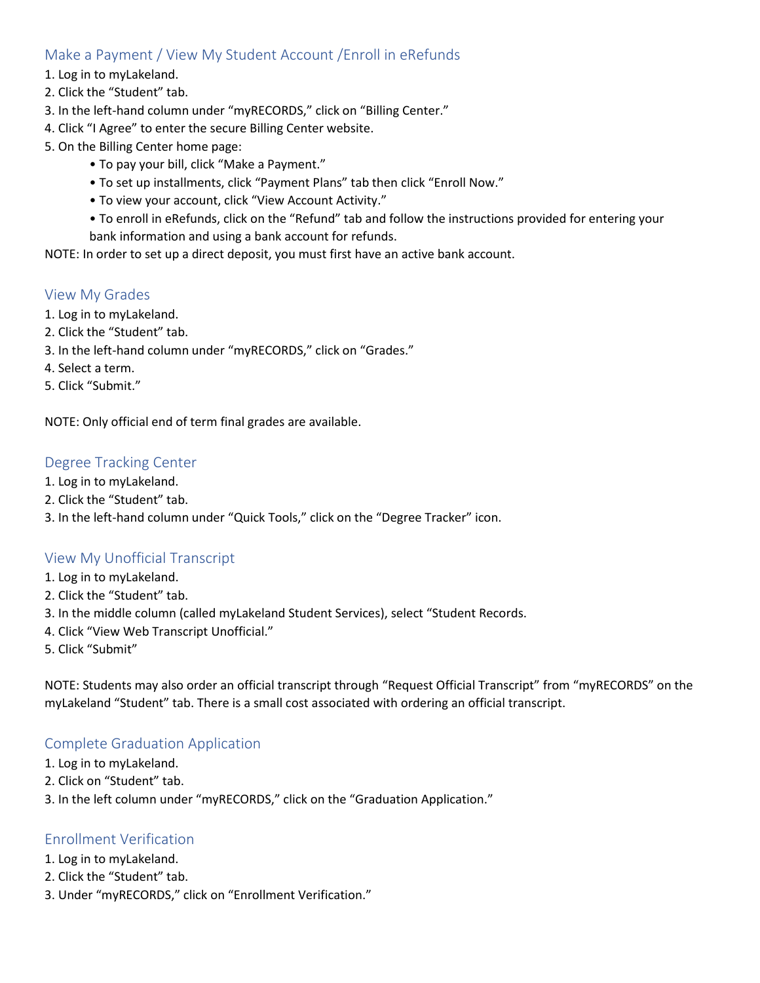# Make a Payment / View My Student Account /Enroll in eRefunds

- 1. Log in to myLakeland.
- 2. Click the "Student" tab.
- 3. In the left-hand column under "myRECORDS," click on "Billing Center."
- 4. Click "I Agree" to enter the secure Billing Center website.
- 5. On the Billing Center home page:
	- To pay your bill, click "Make a Payment."
	- To set up installments, click "Payment Plans" tab then click "Enroll Now."
	- To view your account, click "View Account Activity."
	- To enroll in eRefunds, click on the "Refund" tab and follow the instructions provided for entering your bank information and using a bank account for refunds.

NOTE: In order to set up a direct deposit, you must first have an active bank account.

#### View My Grades

- 1. Log in to myLakeland.
- 2. Click the "Student" tab.
- 3. In the left-hand column under "myRECORDS," click on "Grades."
- 4. Select a term.
- 5. Click "Submit."

NOTE: Only official end of term final grades are available.

#### Degree Tracking Center

- 1. Log in to myLakeland.
- 2. Click the "Student" tab.
- 3. In the left-hand column under "Quick Tools," click on the "Degree Tracker" icon.

#### View My Unofficial Transcript

- 1. Log in to myLakeland.
- 2. Click the "Student" tab.
- 3. In the middle column (called myLakeland Student Services), select "Student Records.
- 4. Click "View Web Transcript Unofficial."
- 5. Click "Submit"

NOTE: Students may also order an official transcript through "Request Official Transcript" from "myRECORDS" on the myLakeland "Student" tab. There is a small cost associated with ordering an official transcript.

#### Complete Graduation Application

- 1. Log in to myLakeland.
- 2. Click on "Student" tab.
- 3. In the left column under "myRECORDS," click on the "Graduation Application."

#### Enrollment Verification

- 1. Log in to myLakeland.
- 2. Click the "Student" tab.
- 3. Under "myRECORDS," click on "Enrollment Verification."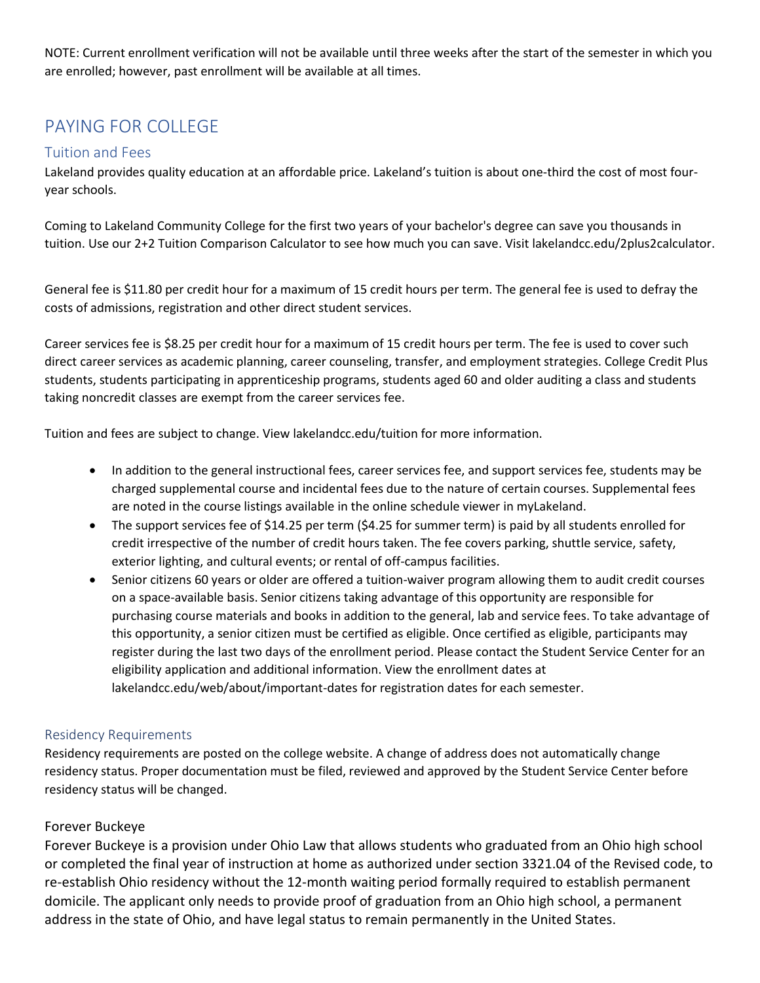NOTE: Current enrollment verification will not be available until three weeks after the start of the semester in which you are enrolled; however, past enrollment will be available at all times.

# PAYING FOR COLLEGE

# Tuition and Fees

Lakeland provides quality education at an affordable price. Lakeland's tuition is about one-third the cost of most fouryear schools.

Coming to Lakeland Community College for the first two years of your bachelor's degree can save you thousands in tuition. Use our 2+2 Tuition Comparison Calculator to see how much you can save. Visit lakelandcc.edu/2plus2calculator.

General fee is \$11.80 per credit hour for a maximum of 15 credit hours per term. The general fee is used to defray the costs of admissions, registration and other direct student services.

Career services fee is \$8.25 per credit hour for a maximum of 15 credit hours per term. The fee is used to cover such direct career services as academic planning, career counseling, transfer, and employment strategies. College Credit Plus students, students participating in apprenticeship programs, students aged 60 and older auditing a class and students taking noncredit classes are exempt from the career services fee.

Tuition and fees are subject to change. View lakelandcc.edu/tuition for more information.

- In addition to the general instructional fees, career services fee, and support services fee, students may be charged supplemental course and incidental fees due to the nature of certain courses. Supplemental fees are noted in the course listings available in the online schedule viewer in myLakeland.
- The support services fee of \$14.25 per term (\$4.25 for summer term) is paid by all students enrolled for credit irrespective of the number of credit hours taken. The fee covers parking, shuttle service, safety, exterior lighting, and cultural events; or rental of off-campus facilities.
- Senior citizens 60 years or older are offered a tuition-waiver program allowing them to audit credit courses on a space-available basis. Senior citizens taking advantage of this opportunity are responsible for purchasing course materials and books in addition to the general, lab and service fees. To take advantage of this opportunity, a senior citizen must be certified as eligible. Once certified as eligible, participants may register during the last two days of the enrollment period. Please contact the Student Service Center for an eligibility application and additional information. View the enrollment dates at lakelandcc.edu/web/about/important-dates for registration dates for each semester.

#### Residency Requirements

Residency requirements are posted on the college website. A change of address does not automatically change residency status. Proper documentation must be filed, reviewed and approved by the Student Service Center before residency status will be changed.

### Forever Buckeye

Forever Buckeye is a provision under Ohio Law that allows students who graduated from an Ohio high school or completed the final year of instruction at home as authorized under section 3321.04 of the Revised code, to re-establish Ohio residency without the 12-month waiting period formally required to establish permanent domicile. The applicant only needs to provide proof of graduation from an Ohio high school, a permanent address in the state of Ohio, and have legal status to remain permanently in the United States.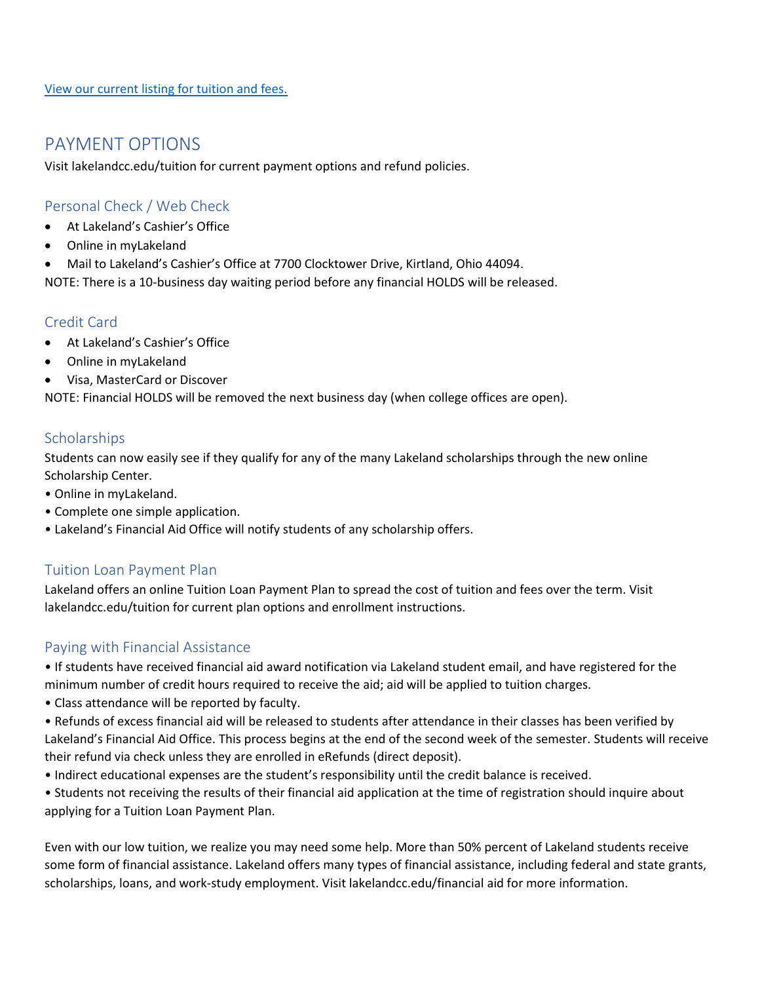# PAYMENT OPTIONS

Visit lakelandcc.edu/tuition for current payment options and refund policies.

# Personal Check / Web Check

- At Lakeland's Cashier's Office
- Online in myLakeland
- Mail to Lakeland's Cashier's Office at 7700 Clocktower Drive, Kirtland, Ohio 44094.

NOTE: There is a 10-business day waiting period before any financial HOLDS will be released.

# Credit Card

- At Lakeland's Cashier's Office
- Online in myLakeland
- Visa, MasterCard or Discover

NOTE: Financial HOLDS will be removed the next business day (when college offices are open).

# **Scholarships**

Students can now easily see if they qualify for any of the many Lakeland scholarships through the new online Scholarship Center.

- Online in myLakeland.
- Complete one simple application.
- Lakeland's Financial Aid Office will notify students of any scholarship offers.

# Tuition Loan Payment Plan

Lakeland offers an online Tuition Loan Payment Plan to spread the cost of tuition and fees over the term. Visit lakelandcc.edu/tuition for current plan options and enrollment instructions.

# Paying with Financial Assistance

• If students have received financial aid award notification via Lakeland student email, and have registered for the minimum number of credit hours required to receive the aid; aid will be applied to tuition charges.

• Class attendance will be reported by faculty.

• Refunds of excess financial aid will be released to students after attendance in their classes has been verified by Lakeland's Financial Aid Office. This process begins at the end of the second week of the semester. Students will receive their refund via check unless they are enrolled in eRefunds (direct deposit).

- Indirect educational expenses are the student's responsibility until the credit balance is received.
- Students not receiving the results of their financial aid application at the time of registration should inquire about applying for a Tuition Loan Payment Plan.

Even with our low tuition, we realize you may need some help. More than 50% percent of Lakeland students receive some form of financial assistance. Lakeland offers many types of financial assistance, including federal and state grants, scholarships, loans, and work-study employment. Visit lakelandcc.edu/financial aid for more information.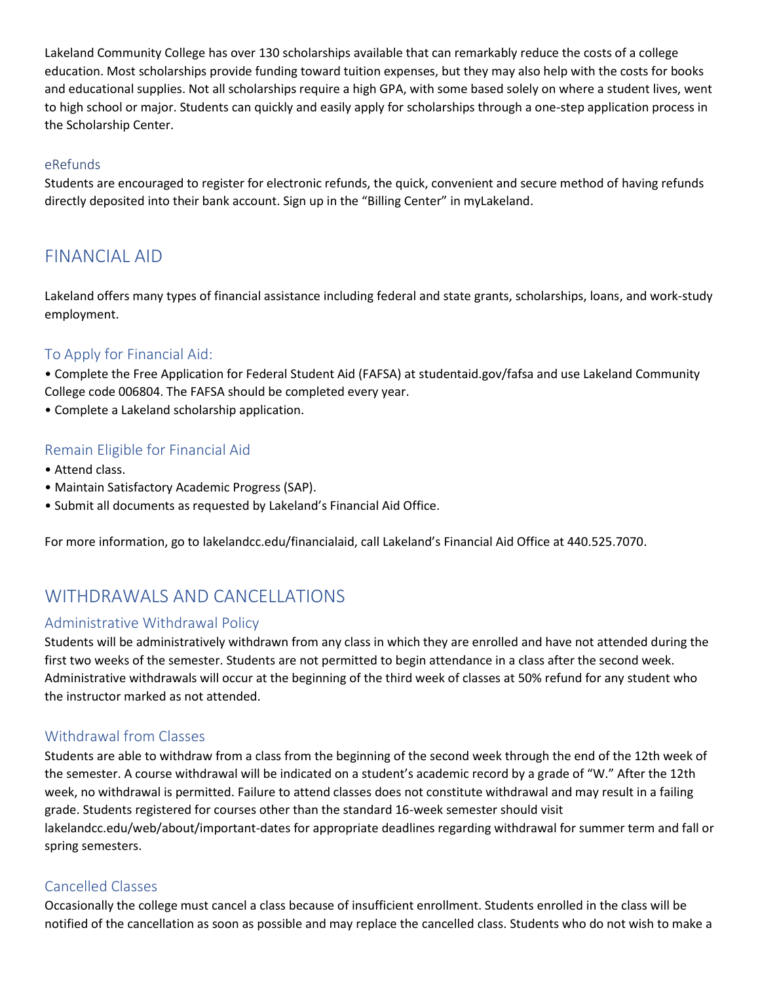Lakeland Community College has over 130 scholarships available that can remarkably reduce the costs of a college education. Most scholarships provide funding toward tuition expenses, but they may also help with the costs for books and educational supplies. Not all scholarships require a high GPA, with some based solely on where a student lives, went to high school or major. Students can quickly and easily apply for scholarships through a one-step application process in the Scholarship Center.

#### eRefunds

Students are encouraged to register for electronic refunds, the quick, convenient and secure method of having refunds directly deposited into their bank account. Sign up in the "Billing Center" in myLakeland.

# FINANCIAL AID

Lakeland offers many types of financial assistance including federal and state grants, scholarships, loans, and work-study employment.

#### To Apply for Financial Aid:

• Complete the Free Application for Federal Student Aid (FAFSA) at studentaid.gov/fafsa and use Lakeland Community College code 006804. The FAFSA should be completed every year.

• Complete a Lakeland scholarship application.

#### Remain Eligible for Financial Aid

- Attend class.
- Maintain Satisfactory Academic Progress (SAP).
- Submit all documents as requested by Lakeland's Financial Aid Office.

For more information, go to lakelandcc.edu/financialaid, call Lakeland's Financial Aid Office at 440.525.7070.

# WITHDRAWALS AND CANCELLATIONS

#### Administrative Withdrawal Policy

Students will be administratively withdrawn from any class in which they are enrolled and have not attended during the first two weeks of the semester. Students are not permitted to begin attendance in a class after the second week. Administrative withdrawals will occur at the beginning of the third week of classes at 50% refund for any student who the instructor marked as not attended.

#### Withdrawal from Classes

Students are able to withdraw from a class from the beginning of the second week through the end of the 12th week of the semester. A course withdrawal will be indicated on a student's academic record by a grade of "W." After the 12th week, no withdrawal is permitted. Failure to attend classes does not constitute withdrawal and may result in a failing grade. Students registered for courses other than the standard 16-week semester should visit lakelandcc.edu/web/about/important-dates for appropriate deadlines regarding withdrawal for summer term and fall or spring semesters.

#### Cancelled Classes

Occasionally the college must cancel a class because of insufficient enrollment. Students enrolled in the class will be notified of the cancellation as soon as possible and may replace the cancelled class. Students who do not wish to make a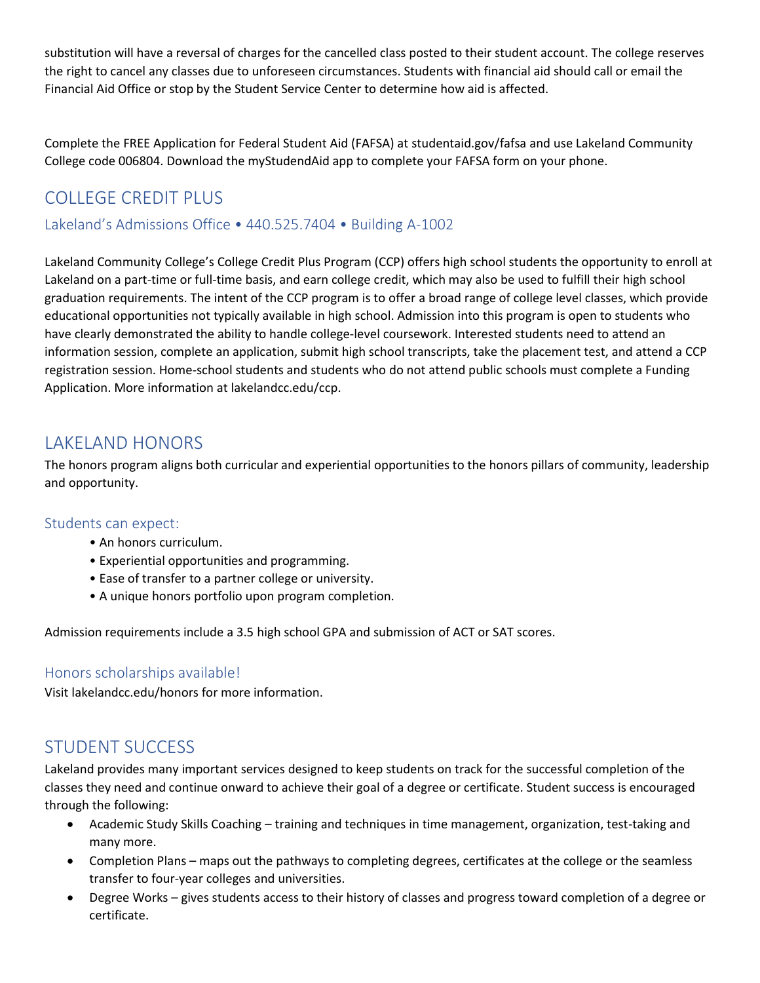substitution will have a reversal of charges for the cancelled class posted to their student account. The college reserves the right to cancel any classes due to unforeseen circumstances. Students with financial aid should call or email the Financial Aid Office or stop by the Student Service Center to determine how aid is affected.

Complete the FREE Application for Federal Student Aid (FAFSA) at studentaid.gov/fafsa and use Lakeland Community College code 006804. Download the myStudendAid app to complete your FAFSA form on your phone.

# COLLEGE CREDIT PLUS

Lakeland's Admissions Office • 440.525.7404 • Building A-1002

Lakeland Community College's College Credit Plus Program (CCP) offers high school students the opportunity to enroll at Lakeland on a part-time or full-time basis, and earn college credit, which may also be used to fulfill their high school graduation requirements. The intent of the CCP program is to offer a broad range of college level classes, which provide educational opportunities not typically available in high school. Admission into this program is open to students who have clearly demonstrated the ability to handle college-level coursework. Interested students need to attend an information session, complete an application, submit high school transcripts, take the placement test, and attend a CCP registration session. Home-school students and students who do not attend public schools must complete a Funding Application. More information at lakelandcc.edu/ccp.

# LAKELAND HONORS

The honors program aligns both curricular and experiential opportunities to the honors pillars of community, leadership and opportunity.

### Students can expect:

- An honors curriculum.
- Experiential opportunities and programming.
- Ease of transfer to a partner college or university.
- A unique honors portfolio upon program completion.

Admission requirements include a 3.5 high school GPA and submission of ACT or SAT scores.

# Honors scholarships available!

Visit lakelandcc.edu/honors for more information.

# STUDENT SUCCESS

Lakeland provides many important services designed to keep students on track for the successful completion of the classes they need and continue onward to achieve their goal of a degree or certificate. Student success is encouraged through the following:

- Academic Study Skills Coaching training and techniques in time management, organization, test-taking and many more.
- Completion Plans maps out the pathways to completing degrees, certificates at the college or the seamless transfer to four-year colleges and universities.
- Degree Works gives students access to their history of classes and progress toward completion of a degree or certificate.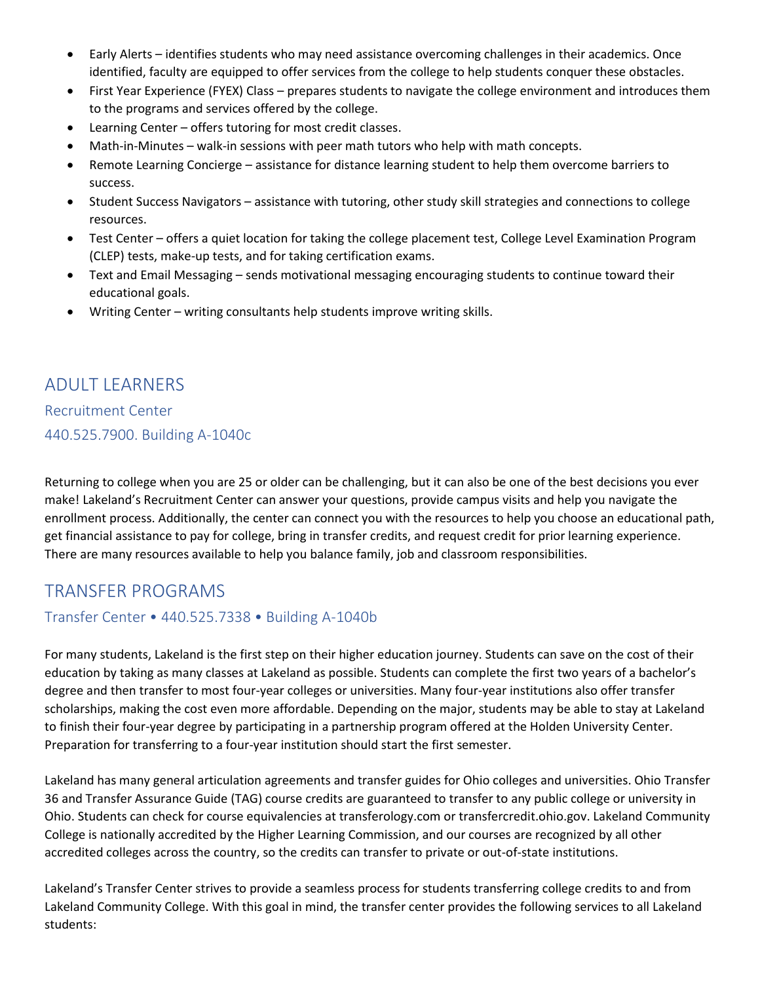- Early Alerts identifies students who may need assistance overcoming challenges in their academics. Once identified, faculty are equipped to offer services from the college to help students conquer these obstacles.
- First Year Experience (FYEX) Class prepares students to navigate the college environment and introduces them to the programs and services offered by the college.
- Learning Center offers tutoring for most credit classes.
- Math-in-Minutes walk-in sessions with peer math tutors who help with math concepts.
- Remote Learning Concierge assistance for distance learning student to help them overcome barriers to success.
- Student Success Navigators assistance with tutoring, other study skill strategies and connections to college resources.
- Test Center offers a quiet location for taking the college placement test, College Level Examination Program (CLEP) tests, make-up tests, and for taking certification exams.
- Text and Email Messaging sends motivational messaging encouraging students to continue toward their educational goals.
- Writing Center writing consultants help students improve writing skills.

# ADULT LEARNERS

Recruitment Center 440.525.7900. Building A-1040c

Returning to college when you are 25 or older can be challenging, but it can also be one of the best decisions you ever make! Lakeland's Recruitment Center can answer your questions, provide campus visits and help you navigate the enrollment process. Additionally, the center can connect you with the resources to help you choose an educational path, get financial assistance to pay for college, bring in transfer credits, and request credit for prior learning experience. There are many resources available to help you balance family, job and classroom responsibilities.

# TRANSFER PROGRAMS

### Transfer Center • 440.525.7338 • Building A-1040b

For many students, Lakeland is the first step on their higher education journey. Students can save on the cost of their education by taking as many classes at Lakeland as possible. Students can complete the first two years of a bachelor's degree and then transfer to most four-year colleges or universities. Many four-year institutions also offer transfer scholarships, making the cost even more affordable. Depending on the major, students may be able to stay at Lakeland to finish their four-year degree by participating in a partnership program offered at the Holden University Center. Preparation for transferring to a four-year institution should start the first semester.

Lakeland has many general articulation agreements and transfer guides for Ohio colleges and universities. Ohio Transfer 36 and Transfer Assurance Guide (TAG) course credits are guaranteed to transfer to any public college or university in Ohio. Students can check for course equivalencies at transferology.com or transfercredit.ohio.gov. Lakeland Community College is nationally accredited by the Higher Learning Commission, and our courses are recognized by all other accredited colleges across the country, so the credits can transfer to private or out-of-state institutions.

Lakeland's Transfer Center strives to provide a seamless process for students transferring college credits to and from Lakeland Community College. With this goal in mind, the transfer center provides the following services to all Lakeland students: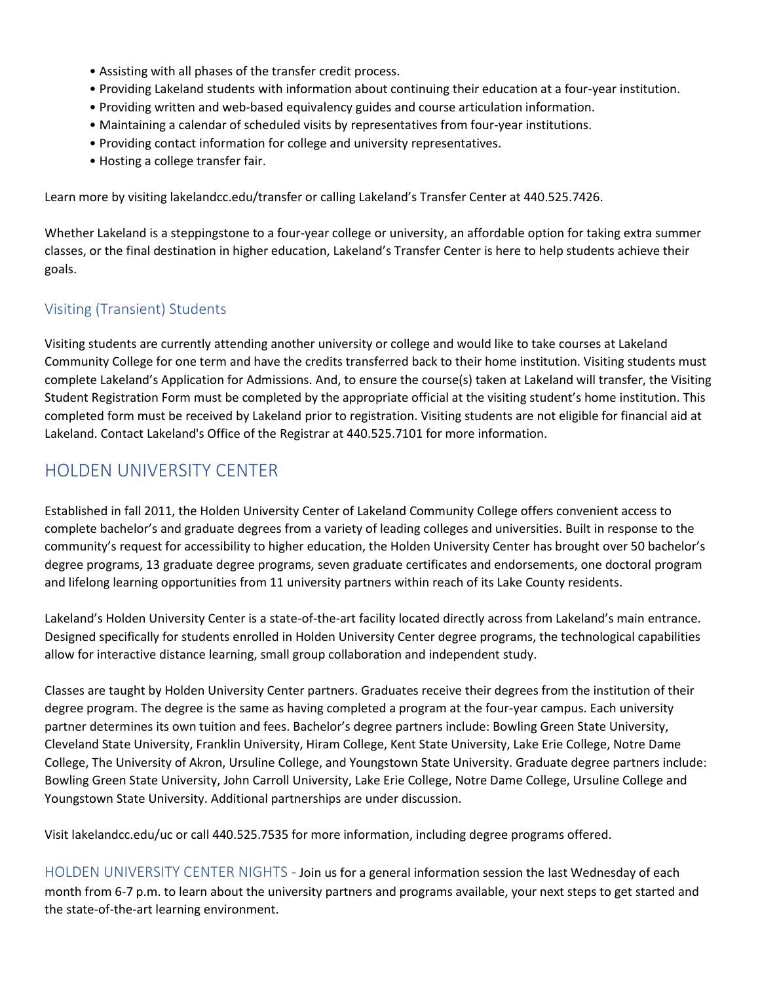- Assisting with all phases of the transfer credit process.
- Providing Lakeland students with information about continuing their education at a four-year institution.
- Providing written and web-based equivalency guides and course articulation information.
- Maintaining a calendar of scheduled visits by representatives from four-year institutions.
- Providing contact information for college and university representatives.
- Hosting a college transfer fair.

Learn more by visiting lakelandcc.edu/transfer or calling Lakeland's Transfer Center at 440.525.7426.

Whether Lakeland is a steppingstone to a four-year college or university, an affordable option for taking extra summer classes, or the final destination in higher education, Lakeland's Transfer Center is here to help students achieve their goals.

# Visiting (Transient) Students

Visiting students are currently attending another university or college and would like to take courses at Lakeland Community College for one term and have the credits transferred back to their home institution. Visiting students must complete Lakeland's Application for Admissions. And, to ensure the course(s) taken at Lakeland will transfer, the Visiting Student Registration Form must be completed by the appropriate official at the visiting student's home institution. This completed form must be received by Lakeland prior to registration. Visiting students are not eligible for financial aid at Lakeland. Contact Lakeland's Office of the Registrar at 440.525.7101 for more information.

# HOLDEN UNIVERSITY CENTER

Established in fall 2011, the Holden University Center of Lakeland Community College offers convenient access to complete bachelor's and graduate degrees from a variety of leading colleges and universities. Built in response to the community's request for accessibility to higher education, the Holden University Center has brought over 50 bachelor's degree programs, 13 graduate degree programs, seven graduate certificates and endorsements, one doctoral program and lifelong learning opportunities from 11 university partners within reach of its Lake County residents.

Lakeland's Holden University Center is a state-of-the-art facility located directly across from Lakeland's main entrance. Designed specifically for students enrolled in Holden University Center degree programs, the technological capabilities allow for interactive distance learning, small group collaboration and independent study.

Classes are taught by Holden University Center partners. Graduates receive their degrees from the institution of their degree program. The degree is the same as having completed a program at the four-year campus. Each university partner determines its own tuition and fees. Bachelor's degree partners include: Bowling Green State University, Cleveland State University, Franklin University, Hiram College, Kent State University, Lake Erie College, Notre Dame College, The University of Akron, Ursuline College, and Youngstown State University. Graduate degree partners include: Bowling Green State University, John Carroll University, Lake Erie College, Notre Dame College, Ursuline College and Youngstown State University. Additional partnerships are under discussion.

Visit lakelandcc.edu/uc or call 440.525.7535 for more information, including degree programs offered.

HOLDEN UNIVERSITY CENTER NIGHTS - Join us for a general information session the last Wednesday of each month from 6-7 p.m. to learn about the university partners and programs available, your next steps to get started and the state-of-the-art learning environment.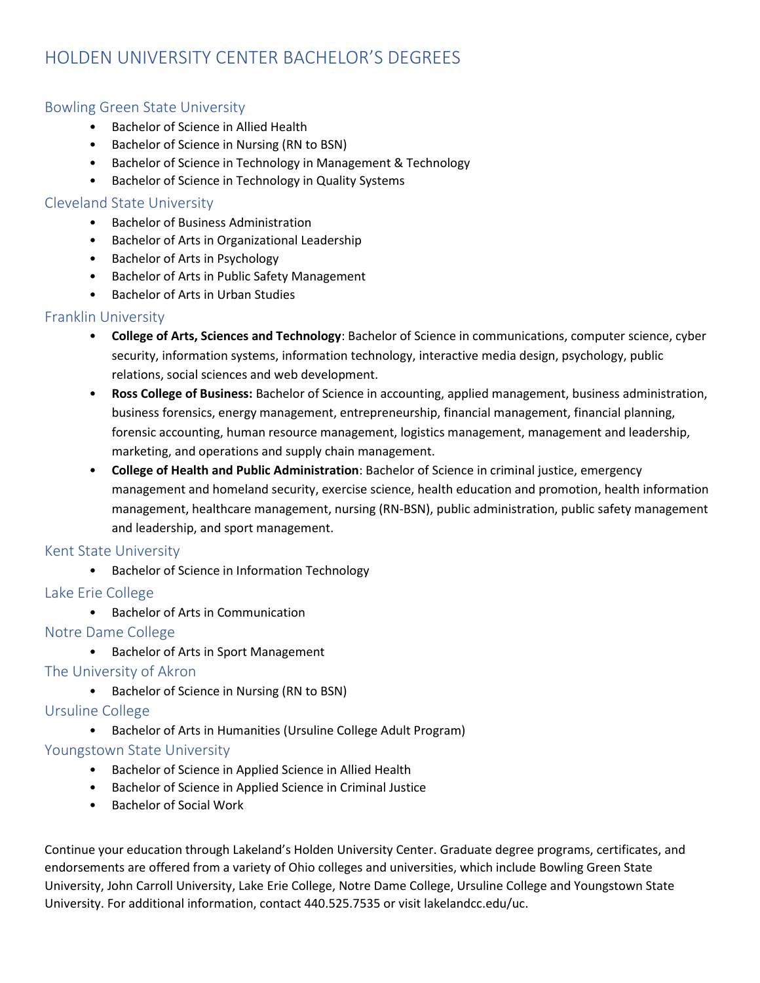# HOLDEN UNIVERSITY CENTER BACHELOR'S DEGREES

### Bowling Green State University

- Bachelor of Science in Allied Health
- Bachelor of Science in Nursing (RN to BSN)
- Bachelor of Science in Technology in Management & Technology
- Bachelor of Science in Technology in Quality Systems

#### Cleveland State University

- Bachelor of Business Administration
- Bachelor of Arts in Organizational Leadership
- Bachelor of Arts in Psychology
- Bachelor of Arts in Public Safety Management
- Bachelor of Arts in Urban Studies

### Franklin University

- **College of Arts, Sciences and Technology**: Bachelor of Science in communications, computer science, cyber security, information systems, information technology, interactive media design, psychology, public relations, social sciences and web development.
- **Ross College of Business:** Bachelor of Science in accounting, applied management, business administration, business forensics, energy management, entrepreneurship, financial management, financial planning, forensic accounting, human resource management, logistics management, management and leadership, marketing, and operations and supply chain management.
- **College of Health and Public Administration**: Bachelor of Science in criminal justice, emergency management and homeland security, exercise science, health education and promotion, health information management, healthcare management, nursing (RN-BSN), public administration, public safety management and leadership, and sport management.

#### Kent State University

• Bachelor of Science in Information Technology

#### Lake Erie College

• Bachelor of Arts in Communication

#### Notre Dame College

• Bachelor of Arts in Sport Management

### The University of Akron

• Bachelor of Science in Nursing (RN to BSN)

### Ursuline College

• Bachelor of Arts in Humanities (Ursuline College Adult Program)

#### Youngstown State University

- Bachelor of Science in Applied Science in Allied Health
- Bachelor of Science in Applied Science in Criminal Justice
- Bachelor of Social Work

Continue your education through Lakeland's Holden University Center. Graduate degree programs, certificates, and endorsements are offered from a variety of Ohio colleges and universities, which include Bowling Green State University, John Carroll University, Lake Erie College, Notre Dame College, Ursuline College and Youngstown State University. For additional information, contact 440.525.7535 or visit lakelandcc.edu/uc.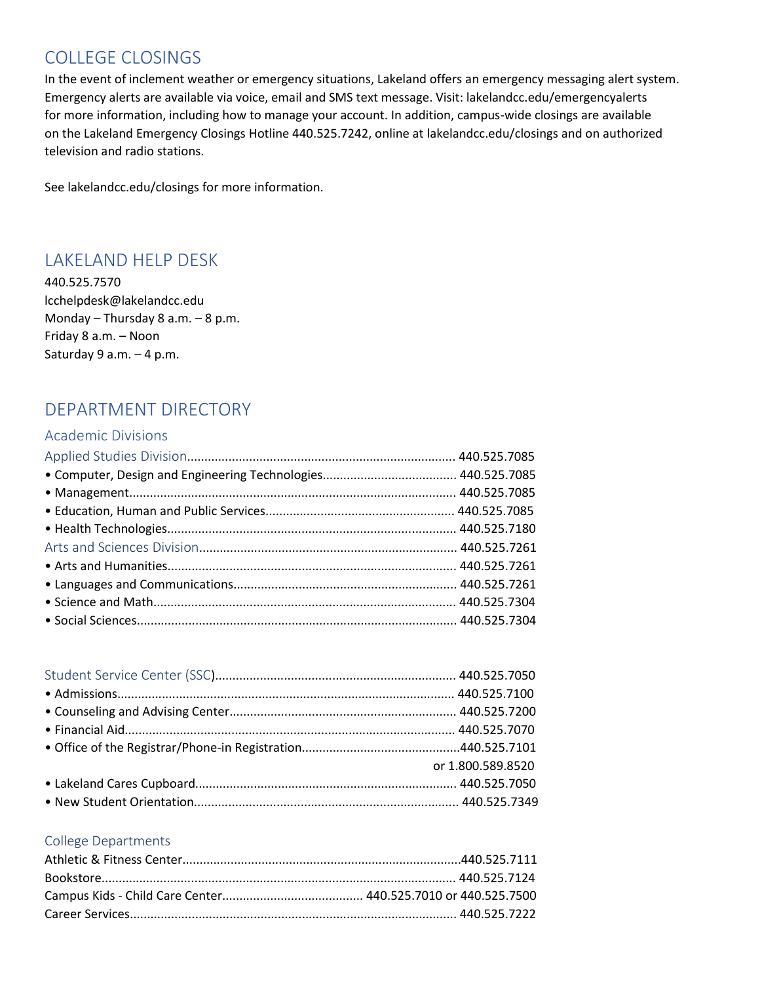# COLLEGE CLOSINGS

In the event of inclement weather or emergency situations, Lakeland offers an emergency messaging alert system. Emergency alerts are available via voice, email and SMS text message. Visit: lakelandcc.edu/emergencyalerts for more information, including how to manage your account. In addition, campus-wide closings are available on the Lakeland Emergency Closings Hotline 440.525.7242, online at lakelandcc.edu/closings and on authorized television and radio stations.

See lakelandcc.edu/closings for more information.

# LAKELAND HELP DESK

440.525.7570 lcchelpdesk@lakelandcc.edu Monday – Thursday 8 a.m. – 8 p.m. Friday 8 a.m. – Noon Saturday 9 a.m. – 4 p.m.

# DEPARTMENT DIRECTORY

#### Academic Divisions

| or 1.800.589.8520 |
|-------------------|
|                   |
|                   |
|                   |

#### College Departments